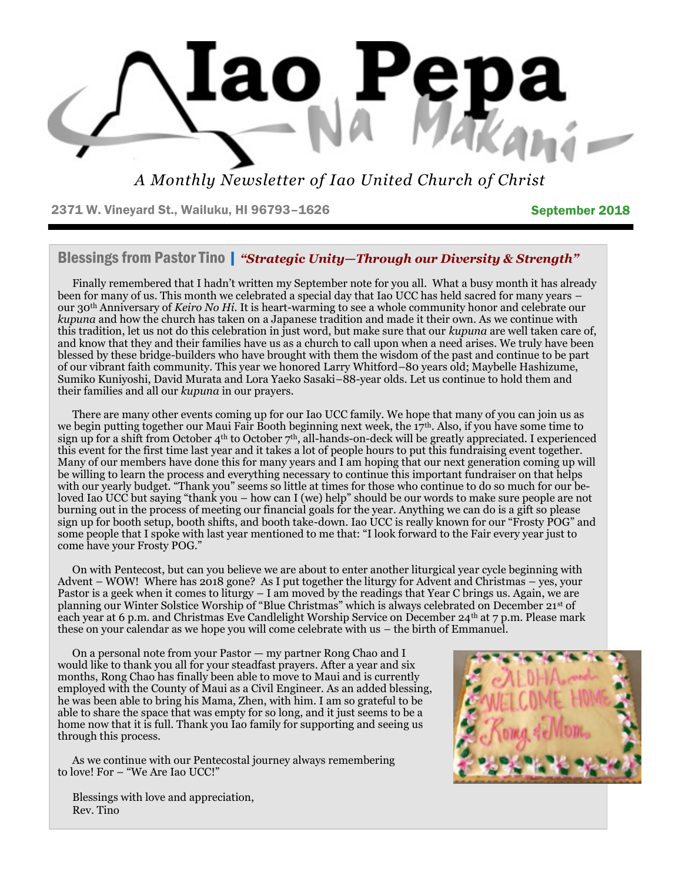

*A Monthly Newsletter of Iao United Church of Christ*

2371 W. Vineyard St., Wailuku, HI 96793-1626 September 2018

## Blessings from Pastor Tino | *"Strategic Unity—Through our Diversity & Strength"*

Finally remembered that I hadn't written my September note for you all. What a busy month it has already been for many of us. This month we celebrated a special day that Iao UCC has held sacred for many years – our 30th Anniversary of *Keiro No Hi.* It is heart-warming to see a whole community honor and celebrate our *kupuna* and how the church has taken on a Japanese tradition and made it their own. As we continue with this tradition, let us not do this celebration in just word, but make sure that our *kupuna* are well taken care of, and know that they and their families have us as a church to call upon when a need arises. We truly have been blessed by these bridge-builders who have brought with them the wisdom of the past and continue to be part of our vibrant faith community. This year we honored Larry Whitford–80 years old; Maybelle Hashizume, Sumiko Kuniyoshi, David Murata and Lora Yaeko Sasaki–88-year olds. Let us continue to hold them and their families and all our *kupuna* in our prayers.

There are many other events coming up for our Iao UCC family. We hope that many of you can join us as we begin putting together our Maui Fair Booth beginning next week, the 17th. Also, if you have some time to sign up for a shift from October 4<sup>th</sup> to October 7<sup>th</sup>, all-hands-on-deck will be greatly appreciated. I experienced this event for the first time last year and it takes a lot of people hours to put this fundraising event together. Many of our members have done this for many years and I am hoping that our next generation coming up will be willing to learn the process and everything necessary to continue this important fundraiser on that helps with our yearly budget. "Thank you" seems so little at times for those who continue to do so much for our beloved Iao UCC but saying "thank you – how can I (we) help" should be our words to make sure people are not burning out in the process of meeting our financial goals for the year. Anything we can do is a gift so please sign up for booth setup, booth shifts, and booth take-down. Iao UCC is really known for our "Frosty POG" and some people that I spoke with last year mentioned to me that: "I look forward to the Fair every year just to come have your Frosty POG."

On with Pentecost, but can you believe we are about to enter another liturgical year cycle beginning with Advent – WOW! Where has 2018 gone? As I put together the liturgy for Advent and Christmas – yes, your Pastor is a geek when it comes to liturgy – I am moved by the readings that Year C brings us. Again, we are planning our Winter Solstice Worship of "Blue Christmas" which is always celebrated on December 21st of each year at 6 p.m. and Christmas Eve Candlelight Worship Service on December 24th at 7 p.m. Please mark these on your calendar as we hope you will come celebrate with us – the birth of Emmanuel.

On a personal note from your Pastor — my partner Rong Chao and I would like to thank you all for your steadfast prayers. After a year and six months, Rong Chao has finally been able to move to Maui and is currently employed with the County of Maui as a Civil Engineer. As an added blessing, he was been able to bring his Mama, Zhen, with him. I am so grateful to be able to share the space that was empty for so long, and it just seems to be a home now that it is full. Thank you Iao family for supporting and seeing us through this process.

As we continue with our Pentecostal journey always remembering to love! For – "We Are Iao UCC!"



Blessings with love and appreciation, Rev. Tino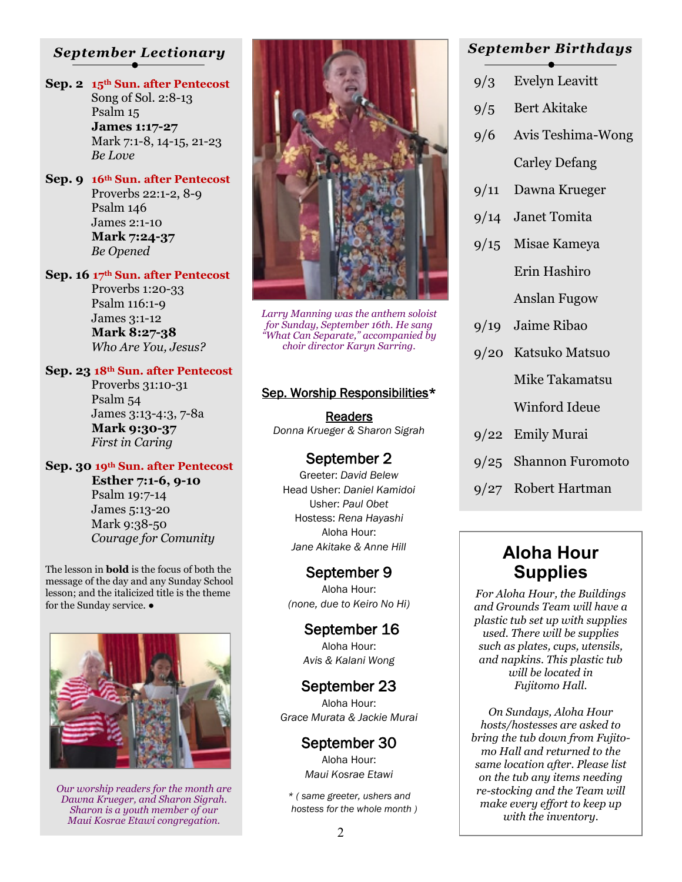# *September Lectionary*

- **Sep. 2 15th Sun. after Pentecost** Song of Sol. 2:8-13 Psalm 15  **James 1:17-27** Mark 7:1-8, 14-15, 21-23 *Be Love*
- **Sep. 9 16th Sun. after Pentecost** Proverbs 22:1-2, 8-9 Psalm 146 James 2:1-10  **Mark 7:24-37** *Be Opened*
- **Sep. 16 17th Sun. after Pentecost** Proverbs 1:20-33 Psalm 116:1-9 James 3:1-12  **Mark 8:27-38**

*Who Are You, Jesus?*

#### **Sep. 23 18th Sun. after Pentecost**

 Proverbs 31:10-31 Psalm 54 James 3:13-4:3, 7-8a  **Mark 9:30-37** *First in Caring*

### **Sep. 30 19th Sun. after Pentecost**

 **Esther 7:1-6, 9-10** Psalm 19:7-14

 James 5:13-20 Mark 9:38-50 *Courage for Comunity*

The lesson in **bold** is the focus of both the message of the day and any Sunday School lesson; and the italicized title is the theme for the Sunday service.  $\bullet$ 



*Our worship readers for the month are Dawna Krueger, and Sharon Sigrah. Sharon is a youth member of our Maui Kosrae Etawi congregation.*



*Larry Manning was the anthem soloist for Sunday, September 16th. He sang "What Can Separate," accompanied by choir director Karyn Sarring.*

#### Sep. Worship Responsibilities\*

Readers *Donna Krueger & Sharon Sigrah* 

### September 2

Greeter: *David Belew* Head Usher: *Daniel Kamidoi*  Usher: *Paul Obet* Hostess: *Rena Hayashi* Aloha Hour: *Jane Akitake & Anne Hill* 

## September 9

Aloha Hour: *(none, due to Keiro No Hi)* 

> September 16 Aloha Hour: *Avis & Kalani Wong*

### September 23

Aloha Hour: *Grace Murata & Jackie Murai* 

# September 30

Aloha Hour: *Maui Kosrae Etawi* 

*\* ( same greeter, ushers and hostess for the whole month )* 

# *September Birthdays*

- 9/3 Evelyn Leavitt
- 9/5 Bert Akitake
- 9/6 Avis Teshima-Wong

Carley Defang

- 9/11 Dawna Krueger
- 9/14 Janet Tomita
- 9/15 Misae Kameya Erin Hashiro

Anslan Fugow

- 9/19 Jaime Ribao
- 9/20 Katsuko Matsuo

Mike Takamatsu

Winford Ideue

- 9/22 Emily Murai
- 9/25 Shannon Furomoto
- 9/27 Robert Hartman

# **Aloha Hour Supplies**

*For Aloha Hour, the Buildings and Grounds Team will have a plastic tub set up with supplies used. There will be supplies such as plates, cups, utensils, and napkins. This plastic tub will be located in Fujitomo Hall.* 

*On Sundays, Aloha Hour hosts/hostesses are asked to bring the tub down from Fujitomo Hall and returned to the same location after. Please list on the tub any items needing re-stocking and the Team will make every effort to keep up with the inventory.*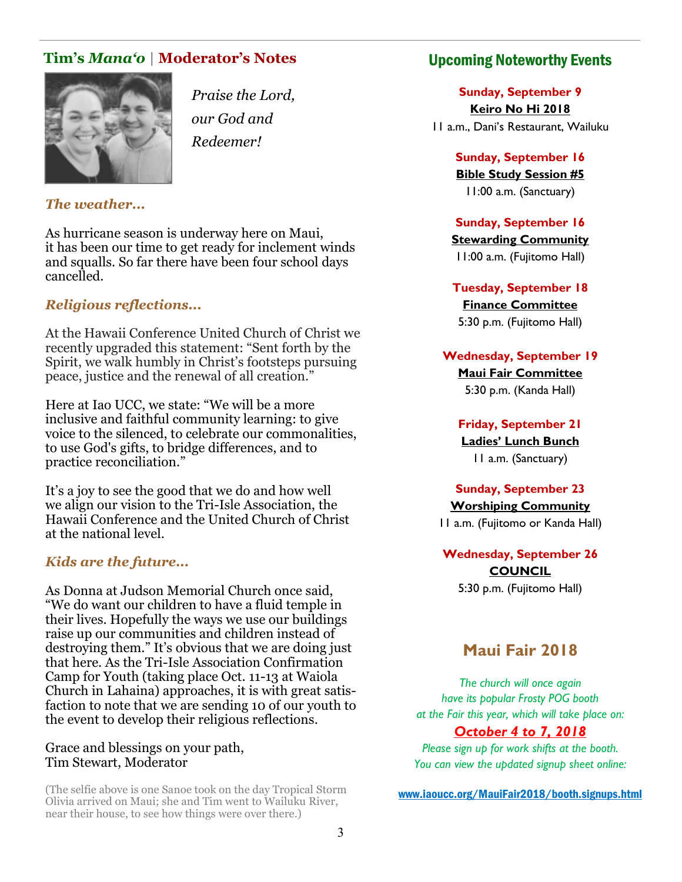# **Tim's** *Mana'o* **| Moderator's Notes**



*Praise the Lord, our God and Redeemer!*

## *The weather...*

As hurricane season is underway here on Maui, it has been our time to get ready for inclement winds and squalls. So far there have been four school days cancelled.

## *Religious reflections...*

At the Hawaii Conference United Church of Christ we recently upgraded this statement: "Sent forth by the Spirit, we walk humbly in Christ's footsteps pursuing peace, justice and the renewal of all creation."

Here at Iao UCC, we state: "We will be a more inclusive and faithful community learning: to give voice to the silenced, to celebrate our commonalities, to use God's gifts, to bridge differences, and to practice reconciliation."

It's a joy to see the good that we do and how well we align our vision to the Tri-Isle Association, the Hawaii Conference and the United Church of Christ at the national level.

### *Kids are the future...*

As Donna at Judson Memorial Church once said, "We do want our children to have a fluid temple in their lives. Hopefully the ways we use our buildings raise up our communities and children instead of destroying them." It's obvious that we are doing just that here. As the Tri-Isle Association Confirmation Camp for Youth (taking place Oct. 11-13 at Waiola Church in Lahaina) approaches, it is with great satisfaction to note that we are sending 10 of our youth to the event to develop their religious reflections.

#### Grace and blessings on your path, Tim Stewart, Moderator

(The selfie above is one Sanoe took on the day Tropical Storm Olivia arrived on Maui; she and Tim went to Wailuku River, near their house, to see how things were over there.)

# Upcoming Noteworthy Events

**Sunday, September 9 Keiro No Hi 2018** 11 a.m., Dani's Restaurant, Wailuku

> **Sunday, September 16 Bible Study Session #5** 11:00 a.m. (Sanctuary)

# **Sunday, September 16**

**Stewarding Community** 11:00 a.m. (Fujitomo Hall)

**Tuesday, September 18 Finance Committee** 5:30 p.m. (Fujitomo Hall)

#### **Wednesday, September 19**

**Maui Fair Committee** 5:30 p.m. (Kanda Hall)

**Friday, September 21 Ladies' Lunch Bunch** 11 a.m. (Sanctuary)

# **Sunday, September 23**

**Worshiping Community** 11 a.m. (Fujitomo or Kanda Hall)

**Wednesday, September 26 COUNCIL** 5:30 p.m. (Fujitomo Hall)

# **Maui Fair 2018**

*The church will once again have its popular Frosty POG booth at the Fair this year, which will take place on:* 

*October 4 to 7, 2018 Please sign up for work shifts at the booth.* 

*You can view the updated signup sheet online:* 

www.iaoucc.org/MauiFair2018/booth.signups.html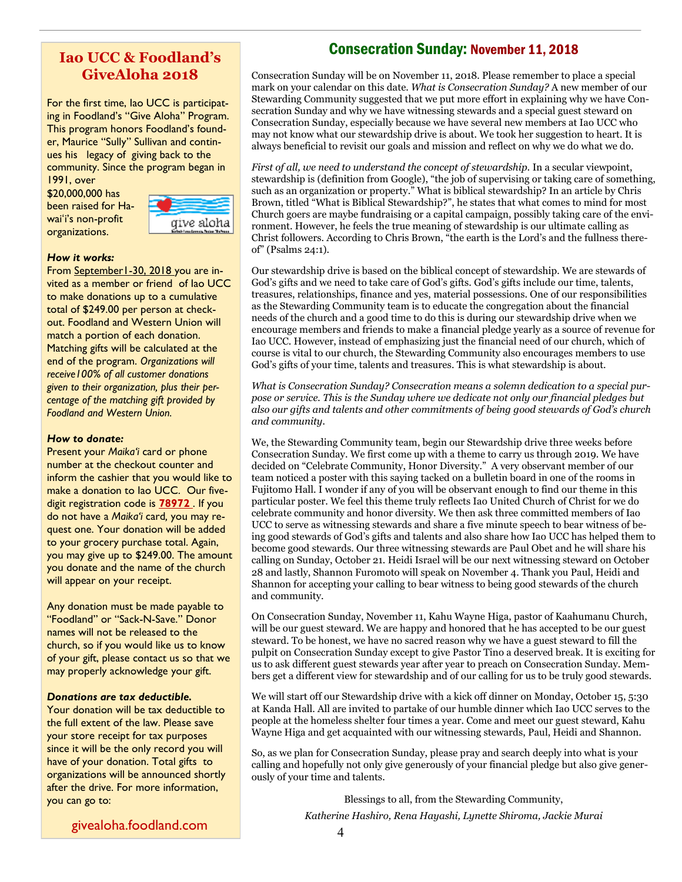## **Iao UCC & Foodland's GiveAloha 2018**

For the first time, Iao UCC is participating in Foodland's "Give Aloha" Program. This program honors Foodland's founder, Maurice "Sully" Sullivan and continues his legacy of giving back to the community. Since the program began in

1991, over \$20,000,000 has been raised for Hawaiʻi's non-profit organizations.



#### *How it works:*

From September1-30, 2018 you are invited as a member or friend of Iao UCC to make donations up to a cumulative total of \$249.00 per person at checkout. Foodland and Western Union will match a portion of each donation. Matching gifts will be calculated at the end of the program. *Organizations will receive100% of all customer donations given to their organization, plus their percentage of the matching gift provided by Foodland and Western Union.* 

#### *How to donate:*

Present your *Maika'i* card or phone number at the checkout counter and inform the cashier that you would like to make a donation to Iao UCC. Our fivedigit registration code is **78972** . If you do not have a *Maika'i* card*,* you may request one. Your donation will be added to your grocery purchase total. Again, you may give up to \$249.00. The amount you donate and the name of the church will appear on your receipt.

Any donation must be made payable to "Foodland" or "Sack-N-Save." Donor names will not be released to the church, so if you would like us to know of your gift, please contact us so that we may properly acknowledge your gift.

#### *Donations are tax deductible.*

Your donation will be tax deductible to the full extent of the law. Please save your store receipt for tax purposes since it will be the only record you will have of your donation. Total gifts to organizations will be announced shortly after the drive. For more information, you can go to:

# Consecration Sunday: November 11, 2018

Consecration Sunday will be on November 11, 2018. Please remember to place a special mark on your calendar on this date. *What is Consecration Sunday?* A new member of our Stewarding Community suggested that we put more effort in explaining why we have Consecration Sunday and why we have witnessing stewards and a special guest steward on Consecration Sunday, especially because we have several new members at Iao UCC who may not know what our stewardship drive is about. We took her suggestion to heart. It is always beneficial to revisit our goals and mission and reflect on why we do what we do.

*First of all, we need to understand the concept of stewardship.* In a secular viewpoint, stewardship is (definition from Google), "the job of supervising or taking care of something, such as an organization or property." What is biblical stewardship? In an article by Chris Brown, titled "What is Biblical Stewardship?", he states that what comes to mind for most Church goers are maybe fundraising or a capital campaign, possibly taking care of the environment. However, he feels the true meaning of stewardship is our ultimate calling as Christ followers. According to Chris Brown, "the earth is the Lord's and the fullness thereof" (Psalms 24:1).

Our stewardship drive is based on the biblical concept of stewardship. We are stewards of God's gifts and we need to take care of God's gifts. God's gifts include our time, talents, treasures, relationships, finance and yes, material possessions. One of our responsibilities as the Stewarding Community team is to educate the congregation about the financial needs of the church and a good time to do this is during our stewardship drive when we encourage members and friends to make a financial pledge yearly as a source of revenue for Iao UCC. However, instead of emphasizing just the financial need of our church, which of course is vital to our church, the Stewarding Community also encourages members to use God's gifts of your time, talents and treasures. This is what stewardship is about.

*What is Consecration Sunday? Consecration means a solemn dedication to a special purpose or service. This is the Sunday where we dedicate not only our financial pledges but also our gifts and talents and other commitments of being good stewards of God's church and community.* 

We, the Stewarding Community team, begin our Stewardship drive three weeks before Consecration Sunday. We first come up with a theme to carry us through 2019. We have decided on "Celebrate Community, Honor Diversity." A very observant member of our team noticed a poster with this saying tacked on a bulletin board in one of the rooms in Fujitomo Hall. I wonder if any of you will be observant enough to find our theme in this particular poster. We feel this theme truly reflects Iao United Church of Christ for we do celebrate community and honor diversity. We then ask three committed members of Iao UCC to serve as witnessing stewards and share a five minute speech to bear witness of being good stewards of God's gifts and talents and also share how Iao UCC has helped them to become good stewards. Our three witnessing stewards are Paul Obet and he will share his calling on Sunday, October 21. Heidi Israel will be our next witnessing steward on October 28 and lastly, Shannon Furomoto will speak on November 4. Thank you Paul, Heidi and Shannon for accepting your calling to bear witness to being good stewards of the church and community.

On Consecration Sunday, November 11, Kahu Wayne Higa, pastor of Kaahumanu Church, will be our guest steward. We are happy and honored that he has accepted to be our guest steward. To be honest, we have no sacred reason why we have a guest steward to fill the pulpit on Consecration Sunday except to give Pastor Tino a deserved break. It is exciting for us to ask different guest stewards year after year to preach on Consecration Sunday. Members get a different view for stewardship and of our calling for us to be truly good stewards.

We will start off our Stewardship drive with a kick off dinner on Monday, October 15, 5:30 at Kanda Hall. All are invited to partake of our humble dinner which Iao UCC serves to the people at the homeless shelter four times a year. Come and meet our guest steward, Kahu Wayne Higa and get acquainted with our witnessing stewards, Paul, Heidi and Shannon.

So, as we plan for Consecration Sunday, please pray and search deeply into what is your calling and hopefully not only give generously of your financial pledge but also give generously of your time and talents.

Blessings to all, from the Stewarding Community,

*Katherine Hashiro, Rena Hayashi, Lynette Shiroma, Jackie Murai*

givealoha.foodland.com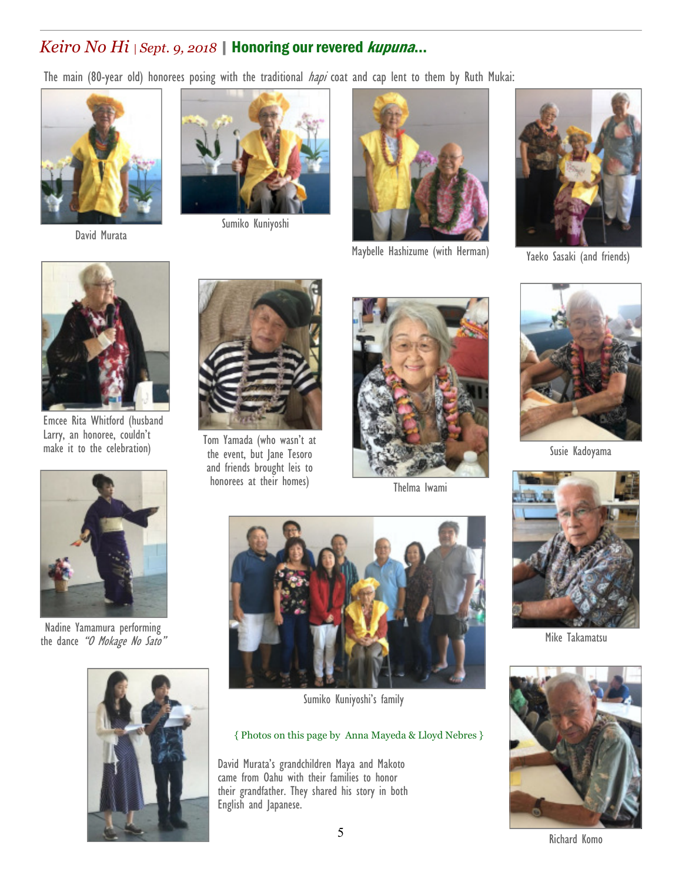# *Keiro No Hi | Sept. 9, 2018* | Honoring our revered kupuna...

The main (80-year old) honorees posing with the traditional *hapi* coat and cap lent to them by Ruth Mukai:



David Murata



Sumiko Kuniyoshi



Maybelle Hashizume (with Herman) Yaeko Sasaki (and friends)





Emcee Rita Whitford (husband Larry, an honoree, couldn't Larry, an nonoree, couldn't Tom Yamada (who wasn't at<br>make it to the celebration) the suggest hut long Issaes



the event, but Jane Tesoro and friends brought leis to honorees at their homes) Thelma Iwami





Susie Kadoyama



Nadine Yamamura performing the dance "O Mokage No Sato"





Sumiko Kuniyoshi's family

#### { Photos on this page by Anna Mayeda & Lloyd Nebres }

David Murata's grandchildren Maya and Makoto came from Oahu with their families to honor their grandfather. They shared his story in both English and Japanese.



Mike Takamatsu

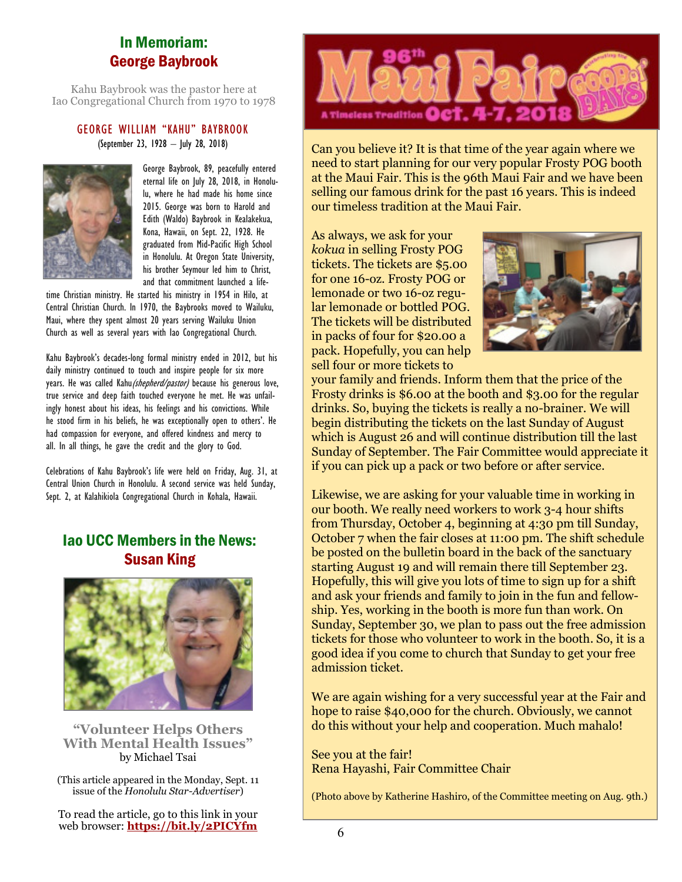# In Memoriam: George Baybrook

Kahu Baybrook was the pastor here at Iao Congregational Church from 1970 to 1978

#### GEORGE WILLIAM "KAHU" BAYBROOK (September 23, 1928 – July 28, 2018)



George Baybrook, 89, peacefully entered eternal life on July 28, 2018, in Honolulu, where he had made his home since 2015. George was born to Harold and Edith (Waldo) Baybrook in Kealakekua, Kona, Hawaii, on Sept. 22, 1928. He graduated from Mid-Pacific High School in Honolulu. At Oregon State University, his brother Seymour led him to Christ, and that commitment launched a life-

time Christian ministry. He started his ministry in 1954 in Hilo, at Central Christian Church. In 1970, the Baybrooks moved to Wailuku, Maui, where they spent almost 20 years serving Wailuku Union Church as well as several years with Iao Congregational Church.

Kahu Baybrook's decades-long formal ministry ended in 2012, but his daily ministry continued to touch and inspire people for six more years. He was called Kahu (shepherd/pastor) because his generous love, true service and deep faith touched everyone he met. He was unfailingly honest about his ideas, his feelings and his convictions. While he stood firm in his beliefs, he was exceptionally open to others'. He had compassion for everyone, and offered kindness and mercy to all. In all things, he gave the credit and the glory to God.

Celebrations of Kahu Baybrook's life were held on Friday, Aug. 31, at Central Union Church in Honolulu. A second service was held Sunday, Sept. 2, at Kalahikiola Congregational Church in Kohala, Hawaii.

# Iao UCC Members in the News: Susan King



**"Volunteer Helps Others With Mental Health Issues"** by Michael Tsai

(This article appeared in the Monday, Sept. 11 issue of the *Honolulu Star-Advertiser*)

To read the article, go to this link in your web browser: **https://bit.ly/2PICYfm** 



Can you believe it? It is that time of the year again where we need to start planning for our very popular Frosty POG booth at the Maui Fair. This is the 96th Maui Fair and we have been selling our famous drink for the past 16 years. This is indeed our timeless tradition at the Maui Fair.

As always, we ask for your *kokua* in selling Frosty POG tickets. The tickets are \$5.00 for one 16-oz. Frosty POG or lemonade or two 16-oz regular lemonade or bottled POG. The tickets will be distributed in packs of four for \$20.00 a pack. Hopefully, you can help sell four or more tickets to



your family and friends. Inform them that the price of the Frosty drinks is \$6.00 at the booth and \$3.00 for the regular drinks. So, buying the tickets is really a no-brainer. We will begin distributing the tickets on the last Sunday of August which is August 26 and will continue distribution till the last Sunday of September. The Fair Committee would appreciate it if you can pick up a pack or two before or after service.

Likewise, we are asking for your valuable time in working in our booth. We really need workers to work 3-4 hour shifts from Thursday, October 4, beginning at 4:30 pm till Sunday, October 7 when the fair closes at 11:00 pm. The shift schedule be posted on the bulletin board in the back of the sanctuary starting August 19 and will remain there till September 23. Hopefully, this will give you lots of time to sign up for a shift and ask your friends and family to join in the fun and fellowship. Yes, working in the booth is more fun than work. On Sunday, September 30, we plan to pass out the free admission tickets for those who volunteer to work in the booth. So, it is a good idea if you come to church that Sunday to get your free admission ticket.

We are again wishing for a very successful year at the Fair and hope to raise \$40,000 for the church. Obviously, we cannot do this without your help and cooperation. Much mahalo!

See you at the fair! Rena Hayashi, Fair Committee Chair

(Photo above by Katherine Hashiro, of the Committee meeting on Aug. 9th.)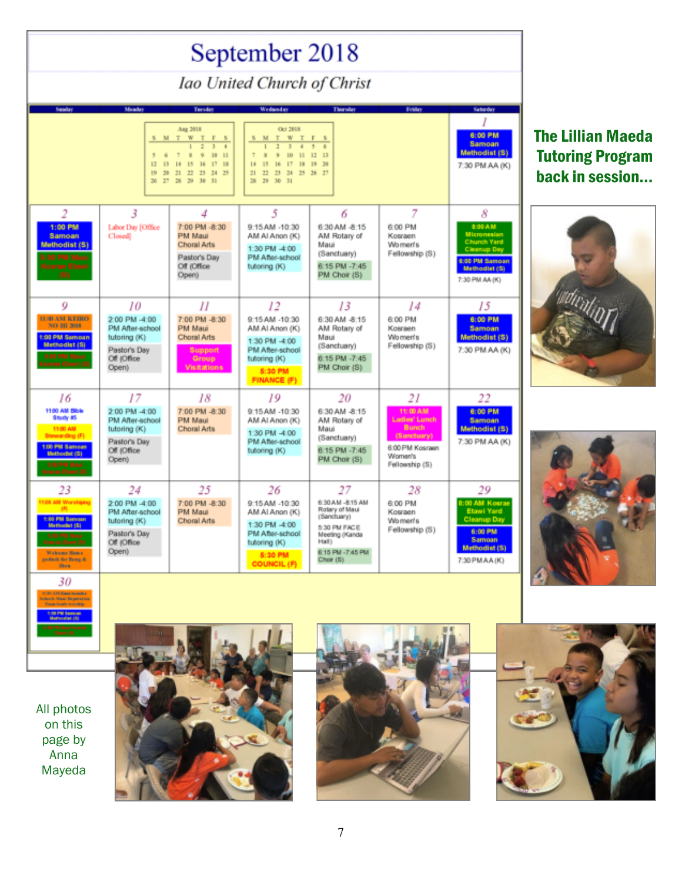| September 2018                                                                                                              |                                                                                                 |                                                                                                                                                                                                                                     |                                                                                                                                                                                                                   |                                                                                                                                     |                                                                                                                       |                                                                                                                              |  |
|-----------------------------------------------------------------------------------------------------------------------------|-------------------------------------------------------------------------------------------------|-------------------------------------------------------------------------------------------------------------------------------------------------------------------------------------------------------------------------------------|-------------------------------------------------------------------------------------------------------------------------------------------------------------------------------------------------------------------|-------------------------------------------------------------------------------------------------------------------------------------|-----------------------------------------------------------------------------------------------------------------------|------------------------------------------------------------------------------------------------------------------------------|--|
| Iao United Church of Christ                                                                                                 |                                                                                                 |                                                                                                                                                                                                                                     |                                                                                                                                                                                                                   |                                                                                                                                     |                                                                                                                       |                                                                                                                              |  |
| Sunday                                                                                                                      | <b>Munday</b>                                                                                   | <b>Tuesday</b>                                                                                                                                                                                                                      | Wednesday                                                                                                                                                                                                         | Thursday                                                                                                                            | Firiday                                                                                                               | Saturday                                                                                                                     |  |
|                                                                                                                             | S M T<br>5<br>6<br>12<br>13<br>19<br>30 <sub>1</sub><br>$26 - 27$                               | Ang 2018<br>W T F<br>$\overline{\mathbf{S}}$<br>$\overline{z}$<br>$\overline{1}$<br>$\mathbf{I}$<br>$\mathbb{I}$<br>$\mathbb{R}$<br>$\overline{9}$<br>1011<br>15<br>17 18<br>14<br>16<br>22<br>23 24 25<br>21<br>28 29<br>$30 - 31$ | Oct 2018<br>T W T F<br>M<br>5.<br>$\overline{2}$<br>$\mathbb{R}$<br>4<br>÷<br>$\mathbb R$<br>10 <sub>1</sub><br>11<br>15<br>16<br>17<br>18 19<br>H.<br>22<br>$23 -$<br>24 25 26 27<br>21<br>28<br>29<br>$30 - 31$ | $\overline{\phantom{a}}$<br>12<br>13<br>30                                                                                          |                                                                                                                       | 6:00 PM<br><b>Samoan</b><br><b>Methodist (S)</b><br>7:30 PM AA (K)                                                           |  |
| $\overline{c}$<br>1:00 PM<br>Samoan<br>Methodist (S)<br><b>O PM Mac</b><br>(oarne Elma                                      | 3<br>Labor Day [Office<br>Closed                                                                | 4<br>7:00 PM -8:30<br>PM Maui<br>Choral Arts<br>Pastor's Day<br>Off (Office<br>Open)                                                                                                                                                | 5<br>9:15 AM -10:30<br>AM AI Anon (K)<br>1:30 PM -4:00<br>PM After-school<br>tutoring (K)                                                                                                                         | 6<br>6:30 AM -8:15<br>AM Rotary of<br>Maui<br>(Sanctuary)<br>6:15 PM -7:45<br>PM Choir (S)                                          | 7<br>6:00 PM<br>Kosraen<br>Women's<br>Fellowship (S)                                                                  | 8<br>8:00 AM<br><b>Micronesian</b><br><b>Church Yard</b><br>Cleanup Day<br>6:00 PM Samoan<br>Methodist (S)<br>7:30 PM AA (K) |  |
| 9<br><b>TESH AM KEIRO</b><br><b>NO HI 2018</b><br>1:00 PM Sampan<br>Methodist (S)<br>5:00 PM N                              | 10<br>2:00 PM -4:00<br>PM After-school<br>tutoring (K)<br>Pastor's Day<br>Off (Office)<br>Open) | 11<br>7:00 PM -8:30<br>PM Maui<br>Choral Arts<br><b>Support</b><br>Group<br><b>Visitations</b>                                                                                                                                      | 12<br>9:15 AM -10:30<br>AM AI Anon (K)<br>1:30 PM -4:00<br>PM After-school<br>tutoring (K)<br>5:30 PM<br><b>FINANCE (F)</b>                                                                                       | 13<br>6:30 AM -8:15<br>AM Rotary of<br>Maui<br>(Sanctuary)<br>6:15 PM -7:45<br>PM Choir (S)                                         | 14<br>6:00 PM<br>Kosraen<br>Women's<br>Fellowship (S)                                                                 | 15<br><b>8:00 PM</b><br><b>Samoan</b><br>Methodist (S)<br>7:30 PM AA (K)                                                     |  |
| 16<br>11:00 AM Blble<br>Study #5<br>11:00 AM<br>Stewarding (F)<br>1:00 PM Samsan<br>Methodist (S)<br>5:00 PM Mac            | 17<br>2:00 PM -4:00<br>PM After-achool<br>tutoring (K)<br>Pastor's Day<br>Off (Office<br>Open)  | 18<br>7:00 PM -8:30<br>PM Maui<br>Choral Arts                                                                                                                                                                                       | 19<br>9:15 AM -10:30<br>AM AI Anon (K)<br>1:30 PM -4:00<br>PM After-school<br>tutoring (K)                                                                                                                        | 20<br>6:30 AM -8:15<br>AM Rotary of<br>Maui<br>(Sanctuary)<br>6:15 PM -7:45<br>PM Choir (S)                                         | 21<br>11:00 AM<br><b>Ladies' Lunch</b><br><b>Bunch</b><br>(Sanctuary)<br>6:00 PM Kosraen<br>Women's<br>Fellowship (S) | 22<br>6:00 PM<br><b>Samoan</b><br>Methodist (S)<br>7:30 PM AA (K)                                                            |  |
| 23<br>11:00 AM Worshiping<br>1:00 PM Samson<br><b>Methodist (S)</b><br>Welcome Blome.<br>potient for Rong &<br><b>Thurs</b> | 24<br>2:00 PM -4:00<br>PM After-school<br>tutoring (K)<br>Pastor's Day<br>Off (Office<br>Open)  | 25<br>7:00 PM -8:30<br>PM Maui<br>Choral Arts                                                                                                                                                                                       | 26<br>9:15 AM -10:30<br>AM AI Anon (K)<br>1:30 PM -4:00<br>PM After-school<br>tutoring (K)<br>5:30 PM<br><b>COUNCIL (F)</b>                                                                                       | 27<br>6:30 AM -8:15 AM<br>Rotary of Maui<br>(Sanctuary)<br>5:30 PM FACE<br>Meeting (Kanda<br>Hall)<br>6:15 PM -7:45 PM<br>Choir (S) | 28<br>6:00 PM<br>Kosraen<br>Women's<br>Fellowship (S)                                                                 | 29<br>0:00 AM Kosrae<br>Etawi Yard<br><b>Cleanup Day</b><br>6:00 PM<br><b>Samoan</b><br>Methodist (\$)<br>7:30 PM AA (K)     |  |
| 30                                                                                                                          |                                                                                                 |                                                                                                                                                                                                                                     |                                                                                                                                                                                                                   |                                                                                                                                     |                                                                                                                       |                                                                                                                              |  |

# The Lillian Maeda Tutoring Program back in session...





All photos on this page by Anna<sup>1</sup> Mayeda